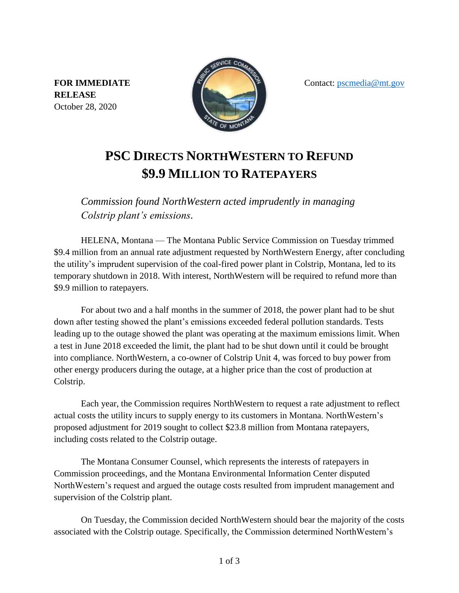Contact: [pscmedia@mt.gov](mailto:pscmedia@mt.gov)

**FOR IMMEDIATE RELEASE** October 28, 2020



## **PSC DIRECTS NORTHWESTERN TO REFUND \$9.9 MILLION TO RATEPAYERS**

*Commission found NorthWestern acted imprudently in managing Colstrip plant's emissions.*

HELENA, Montana — The Montana Public Service Commission on Tuesday trimmed \$9.4 million from an annual rate adjustment requested by NorthWestern Energy, after concluding the utility's imprudent supervision of the coal-fired power plant in Colstrip, Montana, led to its temporary shutdown in 2018. With interest, NorthWestern will be required to refund more than \$9.9 million to ratepayers.

For about two and a half months in the summer of 2018, the power plant had to be shut down after testing showed the plant's emissions exceeded federal pollution standards. Tests leading up to the outage showed the plant was operating at the maximum emissions limit. When a test in June 2018 exceeded the limit, the plant had to be shut down until it could be brought into compliance. NorthWestern, a co-owner of Colstrip Unit 4, was forced to buy power from other energy producers during the outage, at a higher price than the cost of production at Colstrip.

Each year, the Commission requires NorthWestern to request a rate adjustment to reflect actual costs the utility incurs to supply energy to its customers in Montana. NorthWestern's proposed adjustment for 2019 sought to collect \$23.8 million from Montana ratepayers, including costs related to the Colstrip outage.

The Montana Consumer Counsel, which represents the interests of ratepayers in Commission proceedings, and the Montana Environmental Information Center disputed NorthWestern's request and argued the outage costs resulted from imprudent management and supervision of the Colstrip plant.

On Tuesday, the Commission decided NorthWestern should bear the majority of the costs associated with the Colstrip outage. Specifically, the Commission determined NorthWestern's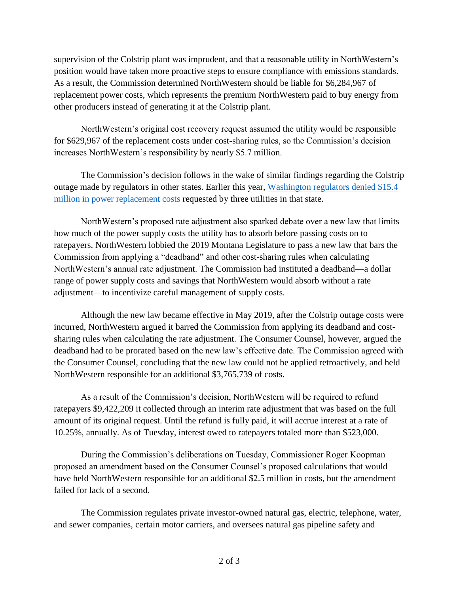supervision of the Colstrip plant was imprudent, and that a reasonable utility in NorthWestern's position would have taken more proactive steps to ensure compliance with emissions standards. As a result, the Commission determined NorthWestern should be liable for \$6,284,967 of replacement power costs, which represents the premium NorthWestern paid to buy energy from other producers instead of generating it at the Colstrip plant.

NorthWestern's original cost recovery request assumed the utility would be responsible for \$629,967 of the replacement costs under cost-sharing rules, so the Commission's decision increases NorthWestern's responsibility by nearly \$5.7 million.

The Commission's decision follows in the wake of similar findings regarding the Colstrip outage made by regulators in other states. Earlier this year, [Washington regulators denied \\$15.4](https://www.utc.wa.gov/aboutUs/Lists/News/DispForm.aspx?ID=658)  [million in power replacement costs](https://www.utc.wa.gov/aboutUs/Lists/News/DispForm.aspx?ID=658) requested by three utilities in that state.

NorthWestern's proposed rate adjustment also sparked debate over a new law that limits how much of the power supply costs the utility has to absorb before passing costs on to ratepayers. NorthWestern lobbied the 2019 Montana Legislature to pass a new law that bars the Commission from applying a "deadband" and other cost-sharing rules when calculating NorthWestern's annual rate adjustment. The Commission had instituted a deadband—a dollar range of power supply costs and savings that NorthWestern would absorb without a rate adjustment—to incentivize careful management of supply costs.

Although the new law became effective in May 2019, after the Colstrip outage costs were incurred, NorthWestern argued it barred the Commission from applying its deadband and costsharing rules when calculating the rate adjustment. The Consumer Counsel, however, argued the deadband had to be prorated based on the new law's effective date. The Commission agreed with the Consumer Counsel, concluding that the new law could not be applied retroactively, and held NorthWestern responsible for an additional \$3,765,739 of costs.

As a result of the Commission's decision, NorthWestern will be required to refund ratepayers \$9,422,209 it collected through an interim rate adjustment that was based on the full amount of its original request. Until the refund is fully paid, it will accrue interest at a rate of 10.25%, annually. As of Tuesday, interest owed to ratepayers totaled more than \$523,000.

During the Commission's deliberations on Tuesday, Commissioner Roger Koopman proposed an amendment based on the Consumer Counsel's proposed calculations that would have held NorthWestern responsible for an additional \$2.5 million in costs, but the amendment failed for lack of a second.

The Commission regulates private investor-owned natural gas, electric, telephone, water, and sewer companies, certain motor carriers, and oversees natural gas pipeline safety and